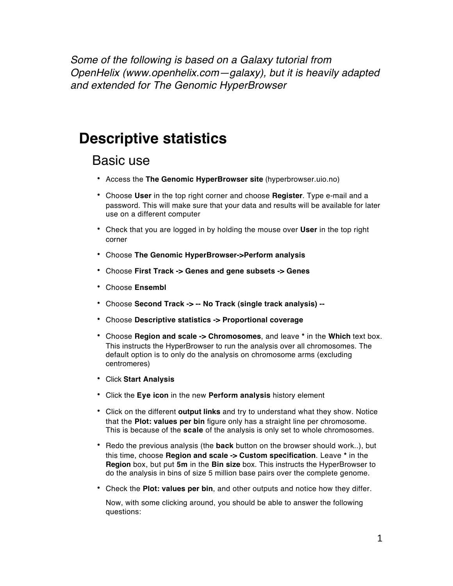*Some of the following is based on a Galaxy tutorial from OpenHelix ([www.openhelix.com—galaxy\),](http://www.openhelix.com/galaxy),) but it is heavily adapted and extended for The Genomic HyperBrowser*

## **Descriptive statistics**

### Basic use

- Access the **The Genomic HyperBrowser site** [\(hyperbrowser.uio.no](http://hyperbrowser.uio.no/))
- Choose **User** in the top right corner and choose **Register**. Type e-mail and a password. This will make sure that your data and results will be available for later use on a different computer
- Check that you are logged in by holding the mouse over **User** in the top right corner
- Choose **The Genomic HyperBrowser->Perform analysis**
- Choose **First Track -> Genes and gene subsets -> Genes**
- Choose **Ensembl**
- Choose **Second Track -> -- No Track (single track analysis) --**
- Choose **Descriptive statistics -> Proportional coverage**
- Choose **Region and scale -> Chromosomes**, and leave **\*** in the **Which** text box. This instructs the HyperBrowser to run the analysis over all chromosomes. The default option is to only do the analysis on chromosome arms (excluding centromeres)
- Click **Start Analysis**
- Click the **Eye icon** in the new **Perform analysis** history element
- Click on the different **output links** and try to understand what they show. Notice that the **Plot: values per bin** figure only has a straight line per chromosome. This is because of the **scale** of the analysis is only set to whole chromosomes.
- Redo the previous analysis (the **back** button on the browser should work..), but this time, choose **Region and scale -> Custom specification**. Leave **\*** in the **Region** box, but put **5m** in the **Bin size** box. This instructs the HyperBrowser to do the analysis in bins of size 5 million base pairs over the complete genome.
- Check the **Plot: values per bin**, and other outputs and notice how they differ.

Now, with some clicking around, you should be able to answer the following questions: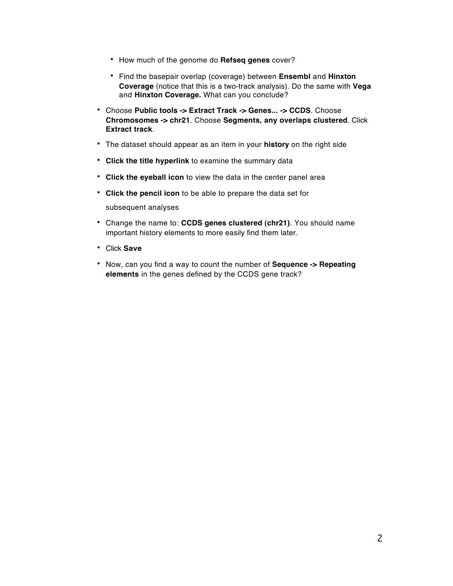- How much of the genome do **Refseq genes** cover?
- Find the basepair overlap (coverage) between **Ensembl** and **Hinxton Coverage** (notice that this is a two-track analysis). Do the same with **Vega**  and **Hinxton Coverage.** What can you conclude?
- Choose **Public tools -> Extract Track -> Genes... -> CCDS**. Choose **Chromosomes -> chr21**. Choose **Segments, any overlaps clustered**. Click **Extract track**.
- The dataset should appear as an item in your **history** on the right side
- **Click the title hyperlink** to examine the summary data
- **Click the eyeball icon** to view the data in the center panel area
- **Click the pencil icon** to be able to prepare the data set for

subsequent analyses

- Change the name to: **CCDS genes clustered (chr21)**. You should name important history elements to more easily find them later.
- Click **Save**
- Now, can you find a way to count the number of **Sequence -> Repeating elements** in the genes defined by the CCDS gene track?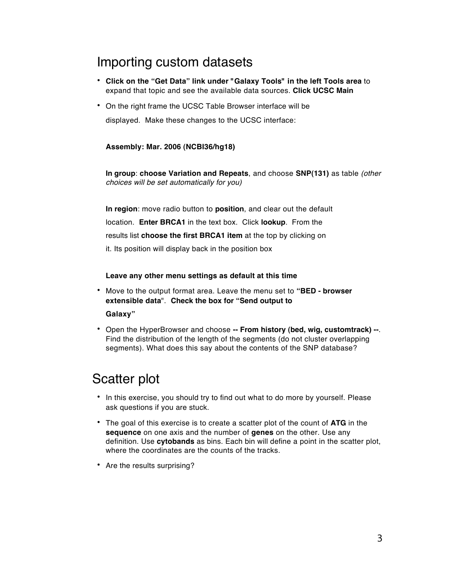## Importing custom datasets

- **Click on the "Get Data" link under "Galaxy Tools" in the left Tools area** to expand that topic and see the available data sources. **Click UCSC Main**
- On the right frame the UCSC Table Browser interface will be displayed. Make these changes to the UCSC interface:

#### **Assembly: Mar. 2006 (NCBI36/hg18)**

**In group**: **choose Variation and Repeats**, and choose **SNP(131)** as table *(other choices will be set automatically for you)*

**In region**: move radio button to **position**, and clear out the default location. **Enter BRCA1** in the text box. Click **lookup**. From the results list **choose the first BRCA1 item** at the top by clicking on it. Its position will display back in the position box

**Leave any other menu settings as default at this time**

- Move to the output format area. Leave the menu set to **"BED browser extensible data**". **Check the box for "Send output to Galaxy"**
- Open the HyperBrowser and choose **-- From history (bed, wig, customtrack) --**. Find the distribution of the length of the segments (do not cluster overlapping segments). What does this say about the contents of the SNP database?

## Scatter plot

- In this exercise, you should try to find out what to do more by yourself. Please ask questions if you are stuck.
- The goal of this exercise is to create a scatter plot of the count of **ATG** in the **sequence** on one axis and the number of **genes** on the other. Use any definition. Use **cytobands** as bins. Each bin will define a point in the scatter plot, where the coordinates are the counts of the tracks.
- Are the results surprising?